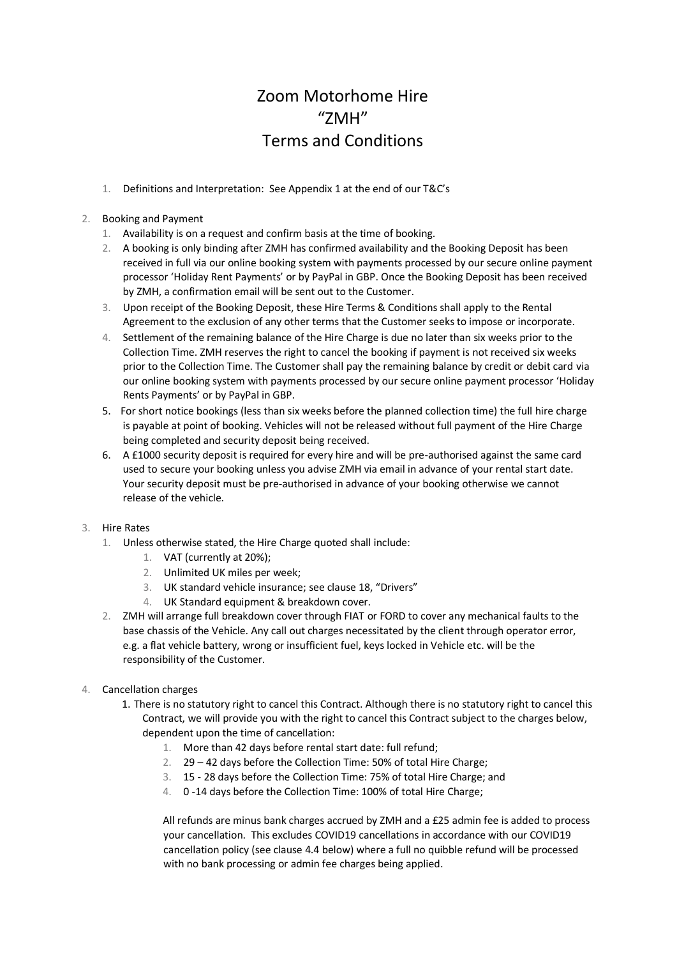# Zoom Motorhome Hire  $''7MH''$ Terms and Conditions

1. Definitions and Interpretation: See Appendix 1 at the end of our T&C's

# 2. Booking and Payment

- 1. Availability is on a request and confirm basis at the time of booking.
- 2. A booking is only binding after ZMH has confirmed availability and the Booking Deposit has been received in full via our online booking system with payments processed by our secure online payment processor 'Holiday Rent Payments' or by PayPal in GBP. Once the Booking Deposit has been received by ZMH, a confirmation email will be sent out to the Customer.
- 3. Upon receipt of the Booking Deposit, these Hire Terms & Conditions shall apply to the Rental Agreement to the exclusion of any other terms that the Customer seeks to impose or incorporate.
- 4. Settlement of the remaining balance of the Hire Charge is due no later than six weeks prior to the Collection Time. ZMH reserves the right to cancel the booking if payment is not received six weeks prior to the Collection Time. The Customer shall pay the remaining balance by credit or debit card via our online booking system with payments processed by our secure online payment processor 'Holiday Rents Payments' or by PayPal in GBP.
- 5. For short notice bookings (less than six weeks before the planned collection time) the full hire charge is payable at point of booking. Vehicles will not be released without full payment of the Hire Charge being completed and security deposit being received.
- 6. A £1000 security deposit is required for every hire and will be pre-authorised against the same card used to secure your booking unless you advise ZMH via email in advance of your rental start date. Your security deposit must be pre-authorised in advance of your booking otherwise we cannot release of the vehicle.

# 3. Hire Rates

- 1. Unless otherwise stated, the Hire Charge quoted shall include:
	- 1. VAT (currently at 20%);
	- 2. Unlimited UK miles per week;
	- 3. UK standard vehicle insurance; see clause 18, "Drivers"
	- 4. UK Standard equipment & breakdown cover.
- 2. ZMH will arrange full breakdown cover through FIAT or FORD to cover any mechanical faults to the base chassis of the Vehicle. Any call out charges necessitated by the client through operator error, e.g. a flat vehicle battery, wrong or insufficient fuel, keys locked in Vehicle etc. will be the responsibility of the Customer.
- 4. Cancellation charges
	- 1. There is no statutory right to cancel this Contract. Although there is no statutory right to cancel this Contract, we will provide you with the right to cancel this Contract subject to the charges below, dependent upon the time of cancellation:
		- 1. More than 42 days before rental start date: full refund;
		- 2. 29 42 days before the Collection Time: 50% of total Hire Charge;
		- 3. 15 28 days before the Collection Time: 75% of total Hire Charge; and
		- 4. 0 -14 days before the Collection Time: 100% of total Hire Charge;

All refunds are minus bank charges accrued by ZMH and a £25 admin fee is added to process your cancellation. This excludes COVID19 cancellations in accordance with our COVID19 cancellation policy (see clause 4.4 below) where a full no quibble refund will be processed with no bank processing or admin fee charges being applied.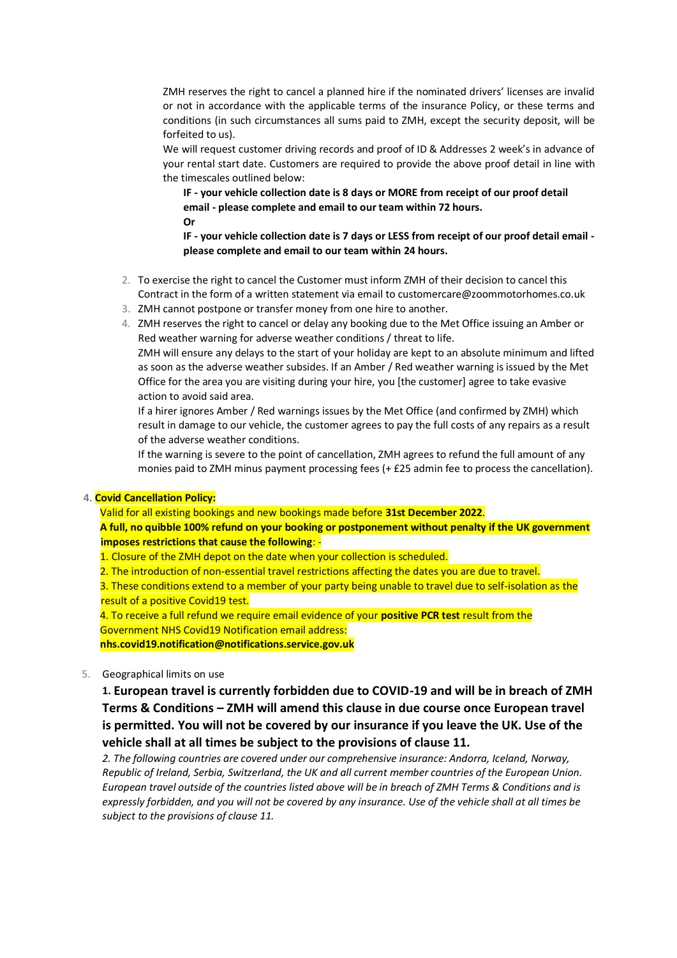ZMH reserves the right to cancel a planned hire if the nominated drivers' licenses are invalid or not in accordance with the applicable terms of the insurance Policy, or these terms and conditions (in such circumstances all sums paid to ZMH, except the security deposit, will be forfeited to us).

We will request customer driving records and proof of ID & Addresses 2 week's in advance of your rental start date. Customers are required to provide the above proof detail in line with the timescales outlined below:

**IF - your vehicle collection date is 8 days or MORE from receipt of our proof detail email - please complete and email to our team within 72 hours. Or**

**IF - your vehicle collection date is 7 days or LESS from receipt of our proof detail email please complete and email to our team within 24 hours.**

- 2. To exercise the right to cancel the Customer must inform ZMH of their decision to cancel this Contract in the form of a written statement via email to customercare@zoommotorhomes.co.uk
- 3. ZMH cannot postpone or transfer money from one hire to another.
- 4. ZMH reserves the right to cancel or delay any booking due to the Met Office issuing an Amber or Red weather warning for adverse weather conditions / threat to life.

ZMH will ensure any delays to the start of your holiday are kept to an absolute minimum and lifted as soon as the adverse weather subsides. If an Amber / Red weather warning is issued by the Met Office for the area you are visiting during your hire, you [the customer] agree to take evasive action to avoid said area.

If a hirer ignores Amber / Red warnings issues by the Met Office (and confirmed by ZMH) which result in damage to our vehicle, the customer agrees to pay the full costs of any repairs as a result of the adverse weather conditions.

If the warning is severe to the point of cancellation, ZMH agrees to refund the full amount of any monies paid to ZMH minus payment processing fees (+ £25 admin fee to process the cancellation).

#### **4. Covid Cancellation Policy:**

Valid for all existing bookings and new bookings made before **31st December 2022**.

**A full, no quibble 100% refund on your booking or postponement without penalty if the UK government imposes restrictions that cause the following**: -

- 1. Closure of the ZMH depot on the date when your collection is scheduled.
- 2. The introduction of non-essential travel restrictions affecting the dates you are due to travel.

3. These conditions extend to a member of your party being unable to travel due to self-isolation as the result of a positive Covid19 test.

4. To receive a full refund we require email evidence of your **positive PCR test** result from the Government NHS Covid19 Notification email address: **nhs.covid19.notification@notifications.service.gov.uk**

5. Geographical limits on use

**1. European travel is currently forbidden due to COVID-19 and will be in breach of ZMH Terms & Conditions – ZMH will amend this clause in due course once European travel is permitted. You will not be covered by our insurance if you leave the UK. Use of the vehicle shall at all times be subject to the provisions of clause 11.**

*2. The following countries are covered under our comprehensive insurance: Andorra, Iceland, Norway, Republic of Ireland, Serbia, Switzerland, the UK and all current member countries of the European Union. European travel outside of the countries listed above will be in breach of ZMH Terms & Conditions and is expressly forbidden, and you will not be covered by any insurance. Use of the vehicle shall at all times be subject to the provisions of clause 11.*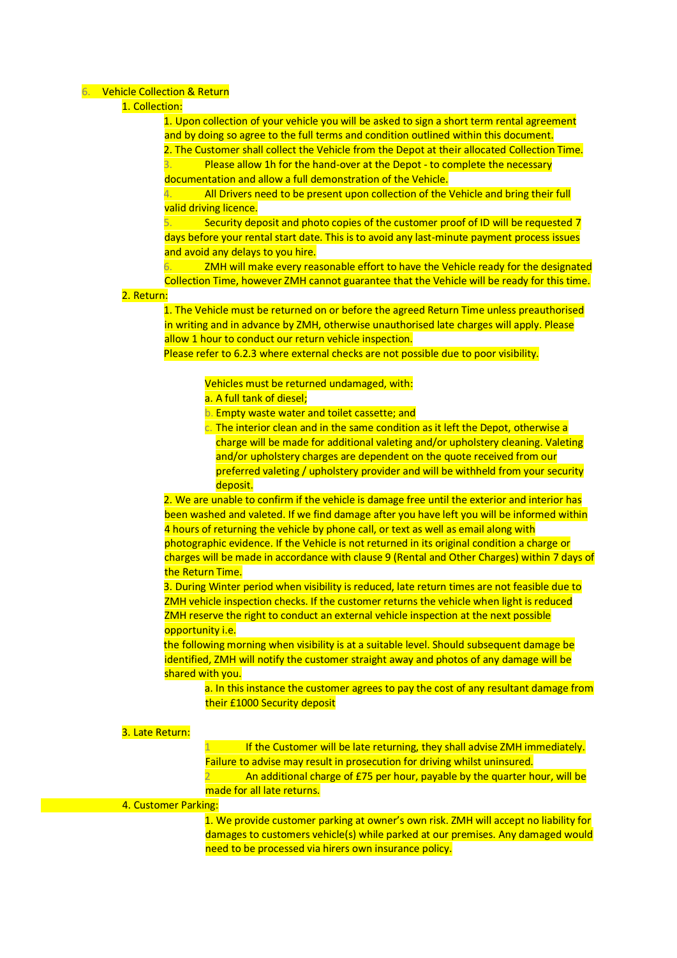#### 6. Vehicle Collection & Return

# 1. Collection:

1. Upon collection of your vehicle you will be asked to sign a short term rental agreement and by doing so agree to the full terms and condition outlined within this document.

2. The Customer shall collect the Vehicle from the Depot at their allocated Collection Time. Please allow 1h for the hand-over at the Depot - to complete the necessary documentation and allow a full demonstration of the Vehicle.

4. All Drivers need to be present upon collection of the Vehicle and bring their full valid driving licence.

5. Security deposit and photo copies of the customer proof of ID will be requested 7 days before your rental start date. This is to avoid any last-minute payment process issues and avoid any delays to you hire.

ZMH will make every reasonable effort to have the Vehicle ready for the designated Collection Time, however ZMH cannot guarantee that the Vehicle will be ready for this time.

## 2. Return:

1. The Vehicle must be returned on or before the agreed Return Time unless preauthorised in writing and in advance by ZMH, otherwise unauthorised late charges will apply. Please allow 1 hour to conduct our return vehicle inspection.

Please refer to 6.2.3 where external checks are not possible due to poor visibility.

# Vehicles must be returned undamaged, with:

- a. A full tank of diesel;
- b. Empty waste water and toilet cassette; and
- $\overline{c}$ . The interior clean and in the same condition as it left the Depot, otherwise a charge will be made for additional valeting and/or upholstery cleaning. Valeting and/or upholstery charges are dependent on the quote received from our preferred valeting / upholstery provider and will be withheld from your security deposit.

2. We are unable to confirm if the vehicle is damage free until the exterior and interior has been washed and valeted. If we find damage after you have left you will be informed within 4 hours of returning the vehicle by phone call, or text as well as email along with photographic evidence. If the Vehicle is not returned in its original condition a charge or charges will be made in accordance with clause 9 (Rental and Other Charges) within 7 days of the Return Time.

3. During Winter period when visibility is reduced, late return times are not feasible due to ZMH vehicle inspection checks. If the customer returns the vehicle when light is reduced ZMH reserve the right to conduct an external vehicle inspection at the next possible opportunity i.e.

the following morning when visibility is at a suitable level. Should subsequent damage be identified, ZMH will notify the customer straight away and photos of any damage will be shared with you.

a. In this instance the customer agrees to pay the cost of any resultant damage from their £1000 Security deposit

#### 3. Late Return:

If the Customer will be late returning, they shall advise ZMH immediately. Failure to advise may result in prosecution for driving whilst uninsured. An additional charge of £75 per hour, payable by the quarter hour, will be made for all late returns.

#### 4. Customer Parking:

1. We provide customer parking at owner's own risk. ZMH will accept no liability for damages to customers vehicle(s) while parked at our premises. Any damaged would need to be processed via hirers own insurance policy.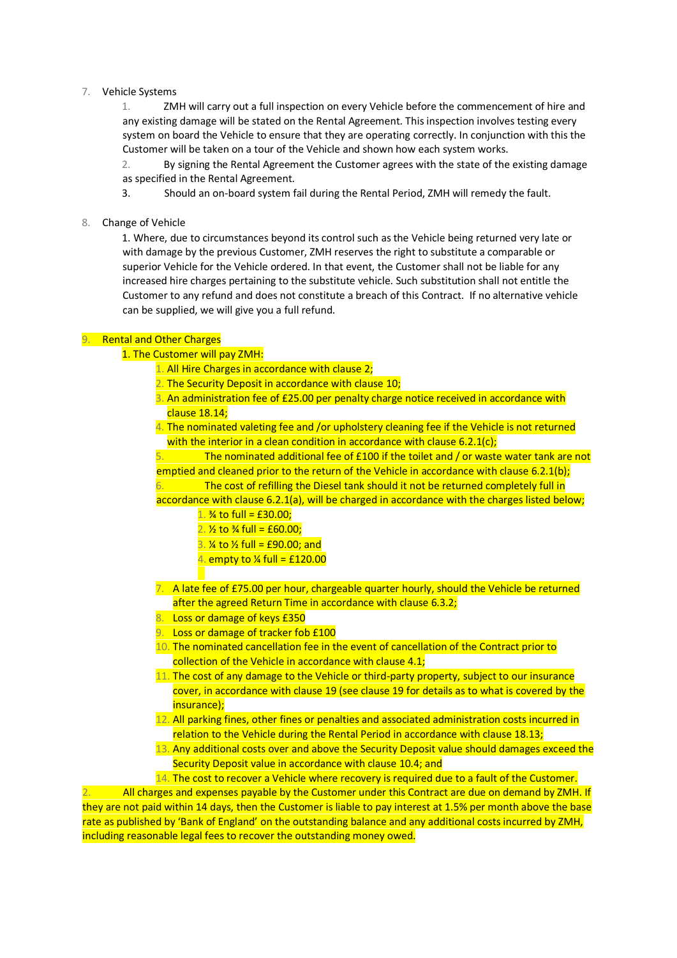## 7. Vehicle Systems

1. ZMH will carry out a full inspection on every Vehicle before the commencement of hire and any existing damage will be stated on the Rental Agreement. This inspection involves testing every system on board the Vehicle to ensure that they are operating correctly. In conjunction with this the Customer will be taken on a tour of the Vehicle and shown how each system works.

2. By signing the Rental Agreement the Customer agrees with the state of the existing damage as specified in the Rental Agreement.

3. Should an on-board system fail during the Rental Period, ZMH will remedy the fault.

8. Change of Vehicle

1. Where, due to circumstances beyond its control such as the Vehicle being returned very late or with damage by the previous Customer, ZMH reserves the right to substitute a comparable or superior Vehicle for the Vehicle ordered. In that event, the Customer shall not be liable for any increased hire charges pertaining to the substitute vehicle. Such substitution shall not entitle the Customer to any refund and does not constitute a breach of this Contract. If no alternative vehicle can be supplied, we will give you a full refund.

#### 9. Rental and Other Charges

#### 1. The Customer will pay ZMH:

- 1. All Hire Charges in accordance with clause 2;
- 2. The Security Deposit in accordance with clause 10;
- 3. An administration fee of £25.00 per penalty charge notice received in accordance with clause 18.14;
- 4. The nominated valeting fee and /or upholstery cleaning fee if the Vehicle is not returned with the interior in a clean condition in accordance with clause  $6.2.1(c)$ ;

The nominated additional fee of  $£100$  if the toilet and  $/$  or waste water tank are not emptied and cleaned prior to the return of the Vehicle in accordance with clause 6.2.1(b); 6. The cost of refilling the Diesel tank should it not be returned completely full in accordance with clause 6.2.1(a), will be charged in accordance with the charges listed below;

- 1.  $\frac{3}{4}$  to full = £30.00;
- 2.  $\frac{1}{2}$  to  $\frac{1}{2}$  full = £60.00;
- 3.  $\frac{1}{4}$  to  $\frac{1}{2}$  full = £90.00; and
- 4. empty to  $\frac{1}{4}$  full = £120.00
- 7. A late fee of £75.00 per hour, chargeable quarter hourly, should the Vehicle be returned after the agreed Return Time in accordance with clause 6.3.2;
- 8. Loss or damage of keys £350
- 9. Loss or damage of tracker fob £100
- 10. The nominated cancellation fee in the event of cancellation of the Contract prior to collection of the Vehicle in accordance with clause 4.1;
- 11. The cost of any damage to the Vehicle or third-party property, subject to our insurance cover, in accordance with clause 19 (see clause 19 for details as to what is covered by the insurance);
- 12. All parking fines, other fines or penalties and associated administration costs incurred in relation to the Vehicle during the Rental Period in accordance with clause 18.13;
- 13. Any additional costs over and above the Security Deposit value should damages exceed the Security Deposit value in accordance with clause 10.4; and
- 14. The cost to recover a Vehicle where recovery is required due to a fault of the Customer.

2. All charges and expenses payable by the Customer under this Contract are due on demand by ZMH. If they are not paid within 14 days, then the Customer is liable to pay interest at 1.5% per month above the base rate as published by 'Bank of England' on the outstanding balance and any additional costs incurred by ZMH, including reasonable legal fees to recover the outstanding money owed.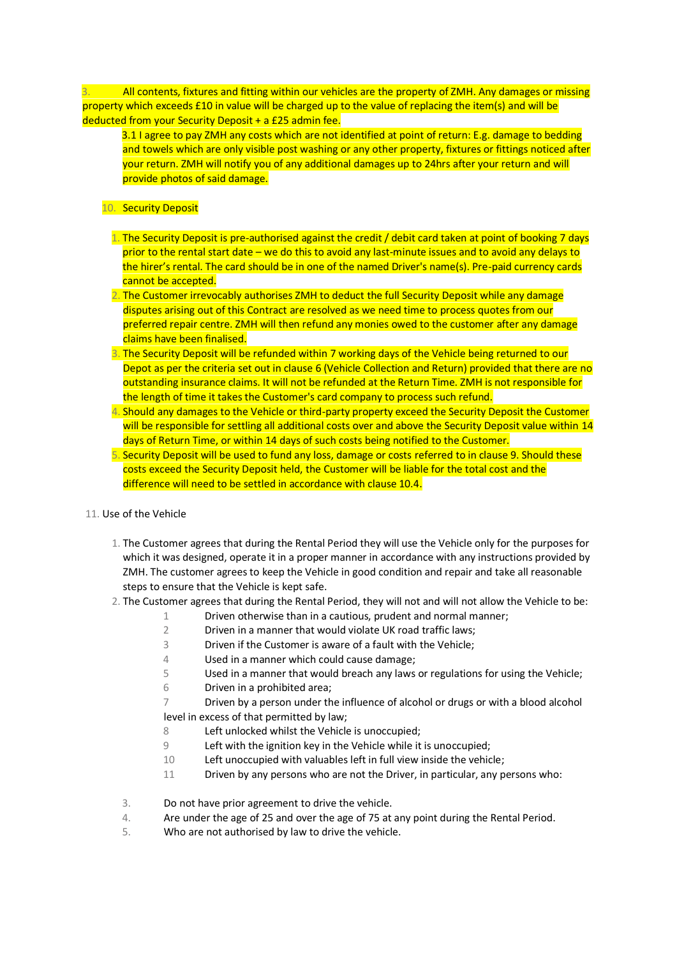3. All contents, fixtures and fitting within our vehicles are the property of ZMH. Any damages or missing property which exceeds £10 in value will be charged up to the value of replacing the item(s) and will be deducted from your Security Deposit + a £25 admin fee.

3.1 I agree to pay ZMH any costs which are not identified at point of return: E.g. damage to bedding and towels which are only visible post washing or any other property, fixtures or fittings noticed after your return. ZMH will notify you of any additional damages up to 24hrs after your return and will provide photos of said damage.

# 10. Security Deposit

- 1. The Security Deposit is pre-authorised against the credit / debit card taken at point of booking 7 days prior to the rental start date – we do this to avoid any last-minute issues and to avoid any delays to the hirer's rental. The card should be in one of the named Driver's name(s). Pre-paid currency cards cannot be accepted.
- 2. The Customer irrevocably authorises ZMH to deduct the full Security Deposit while any damage disputes arising out of this Contract are resolved as we need time to process quotes from our preferred repair centre. ZMH will then refund any monies owed to the customer after any damage claims have been finalised.
- 3. The Security Deposit will be refunded within 7 working days of the Vehicle being returned to our Depot as per the criteria set out in clause 6 (Vehicle Collection and Return) provided that there are no outstanding insurance claims. It will not be refunded at the Return Time. ZMH is not responsible for the length of time it takes the Customer's card company to process such refund.
- 4. Should any damages to the Vehicle or third-party property exceed the Security Deposit the Customer will be responsible for settling all additional costs over and above the Security Deposit value within 14 days of Return Time, or within 14 days of such costs being notified to the Customer.
- 5. Security Deposit will be used to fund any loss, damage or costs referred to in clause 9. Should these costs exceed the Security Deposit held, the Customer will be liable for the total cost and the difference will need to be settled in accordance with clause 10.4.

## 11. Use of the Vehicle

- 1. The Customer agrees that during the Rental Period they will use the Vehicle only for the purposes for which it was designed, operate it in a proper manner in accordance with any instructions provided by ZMH. The customer agrees to keep the Vehicle in good condition and repair and take all reasonable steps to ensure that the Vehicle is kept safe.
- 2. The Customer agrees that during the Rental Period, they will not and will not allow the Vehicle to be:
	- 1 Driven otherwise than in a cautious, prudent and normal manner;
	- 2 Driven in a manner that would violate UK road traffic laws;
	- 3 Driven if the Customer is aware of a fault with the Vehicle;
	- 4 Used in a manner which could cause damage;
	- 5 Used in a manner that would breach any laws or regulations for using the Vehicle;
	- 6 Driven in a prohibited area;
	- 7 Driven by a person under the influence of alcohol or drugs or with a blood alcohol level in excess of that permitted by law;
	- 8 Left unlocked whilst the Vehicle is unoccupied;
	- 9 Left with the ignition key in the Vehicle while it is unoccupied;
	- 10 Left unoccupied with valuables left in full view inside the vehicle;
	- 11 Driven by any persons who are not the Driver, in particular, any persons who:
	- 3. Do not have prior agreement to drive the vehicle.
	- 4. Are under the age of 25 and over the age of 75 at any point during the Rental Period.
	- 5. Who are not authorised by law to drive the vehicle.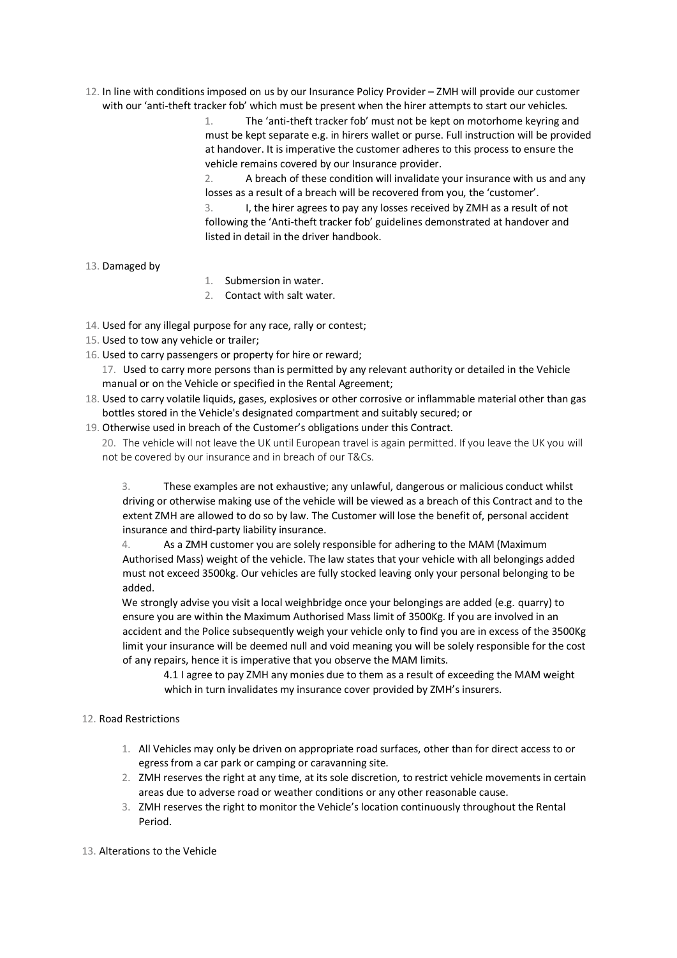12. In line with conditions imposed on us by our Insurance Policy Provider – ZMH will provide our customer with our 'anti-theft tracker fob' which must be present when the hirer attempts to start our vehicles.

> 1. The 'anti-theft tracker fob' must not be kept on motorhome keyring and must be kept separate e.g. in hirers wallet or purse. Full instruction will be provided at handover. It is imperative the customer adheres to this process to ensure the vehicle remains covered by our Insurance provider.

2. A breach of these condition will invalidate your insurance with us and any losses as a result of a breach will be recovered from you, the 'customer'.

3. I, the hirer agrees to pay any losses received by ZMH as a result of not following the 'Anti-theft tracker fob' guidelines demonstrated at handover and listed in detail in the driver handbook.

# 13. Damaged by

- 1. Submersion in water.
- 2. Contact with salt water.
- 14. Used for any illegal purpose for any race, rally or contest;
- 15. Used to tow any vehicle or trailer;
- 16. Used to carry passengers or property for hire or reward;

17. Used to carry more persons than is permitted by any relevant authority or detailed in the Vehicle manual or on the Vehicle or specified in the Rental Agreement;

18. Used to carry volatile liquids, gases, explosives or other corrosive or inflammable material other than gas bottles stored in the Vehicle's designated compartment and suitably secured; or

19. Otherwise used in breach of the Customer's obligations under this Contract.

20. The vehicle will not leave the UK until European travel is again permitted. If you leave the UK you will not be covered by our insurance and in breach of our T&Cs.

3. These examples are not exhaustive; any unlawful, dangerous or malicious conduct whilst driving or otherwise making use of the vehicle will be viewed as a breach of this Contract and to the extent ZMH are allowed to do so by law. The Customer will lose the benefit of, personal accident insurance and third-party liability insurance.

4. As a ZMH customer you are solely responsible for adhering to the MAM (Maximum Authorised Mass) weight of the vehicle. The law states that your vehicle with all belongings added must not exceed 3500kg. Our vehicles are fully stocked leaving only your personal belonging to be added.

We strongly advise you visit a local weighbridge once your belongings are added (e.g. quarry) to ensure you are within the Maximum Authorised Mass limit of 3500Kg. If you are involved in an accident and the Police subsequently weigh your vehicle only to find you are in excess of the 3500Kg limit your insurance will be deemed null and void meaning you will be solely responsible for the cost of any repairs, hence it is imperative that you observe the MAM limits.

4.1 I agree to pay ZMH any monies due to them as a result of exceeding the MAM weight which in turn invalidates my insurance cover provided by ZMH's insurers.

## 12. Road Restrictions

- 1. All Vehicles may only be driven on appropriate road surfaces, other than for direct access to or egress from a car park or camping or caravanning site.
- 2. ZMH reserves the right at any time, at its sole discretion, to restrict vehicle movements in certain areas due to adverse road or weather conditions or any other reasonable cause.
- 3. ZMH reserves the right to monitor the Vehicle's location continuously throughout the Rental Period.

13. Alterations to the Vehicle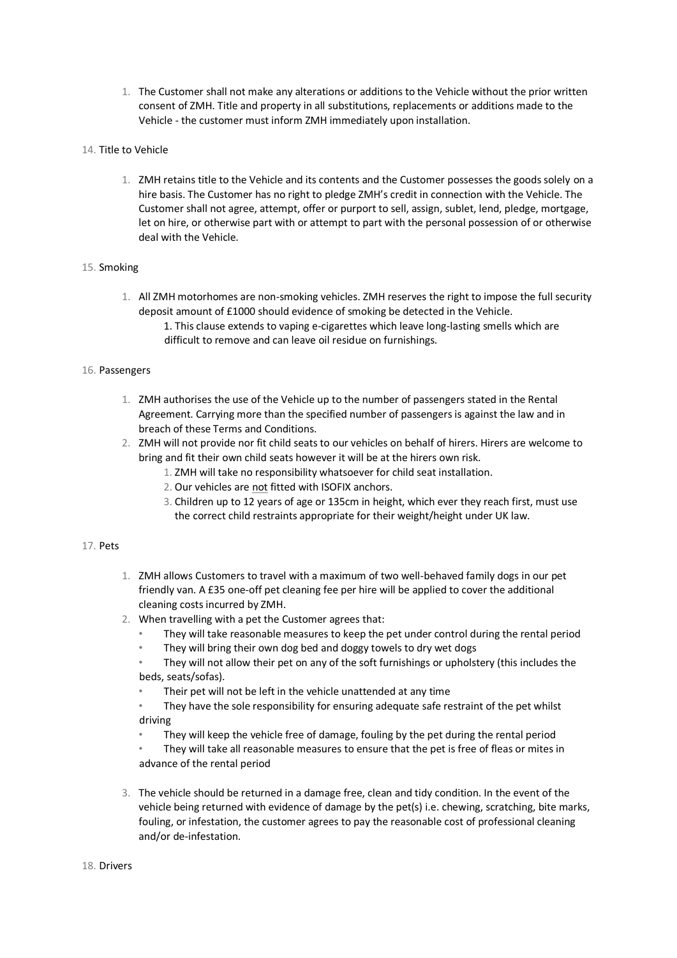- 1. The Customer shall not make any alterations or additions to the Vehicle without the prior written consent of ZMH. Title and property in all substitutions, replacements or additions made to the Vehicle - the customer must inform ZMH immediately upon installation.
- 14. Title to Vehicle
	- 1. ZMH retains title to the Vehicle and its contents and the Customer possesses the goods solely on a hire basis. The Customer has no right to pledge ZMH's credit in connection with the Vehicle. The Customer shall not agree, attempt, offer or purport to sell, assign, sublet, lend, pledge, mortgage, let on hire, or otherwise part with or attempt to part with the personal possession of or otherwise deal with the Vehicle.

# 15. Smoking

- 1. All ZMH motorhomes are non-smoking vehicles. ZMH reserves the right to impose the full security deposit amount of £1000 should evidence of smoking be detected in the Vehicle.
	- 1. This clause extends to vaping e-cigarettes which leave long-lasting smells which are difficult to remove and can leave oil residue on furnishings.

# 16. Passengers

- 1. ZMH authorises the use of the Vehicle up to the number of passengers stated in the Rental Agreement. Carrying more than the specified number of passengers is against the law and in breach of these Terms and Conditions.
- 2. ZMH will not provide nor fit child seats to our vehicles on behalf of hirers. Hirers are welcome to bring and fit their own child seats however it will be at the hirers own risk.
	- 1. ZMH will take no responsibility whatsoever for child seat installation.
		- 2. Our vehicles are not fitted with ISOFIX anchors.
		- 3. Children up to 12 years of age or 135cm in height, which ever they reach first, must use the correct child restraints appropriate for their weight/height under UK law.

## 17. Pets

- 1. ZMH allows Customers to travel with a maximum of two well-behaved family dogs in our pet friendly van. A £35 one-off pet cleaning fee per hire will be applied to cover the additional cleaning costs incurred by ZMH.
- 2. When travelling with a pet the Customer agrees that:
	- They will take reasonable measures to keep the pet under control during the rental period
	- They will bring their own dog bed and doggy towels to dry wet dogs
	- They will not allow their pet on any of the soft furnishings or upholstery (this includes the beds, seats/sofas).
	- Their pet will not be left in the vehicle unattended at any time
	- They have the sole responsibility for ensuring adequate safe restraint of the pet whilst driving
	- They will keep the vehicle free of damage, fouling by the pet during the rental period
	- They will take all reasonable measures to ensure that the pet is free of fleas or mites in advance of the rental period
- 3. The vehicle should be returned in a damage free, clean and tidy condition. In the event of the vehicle being returned with evidence of damage by the pet(s) i.e. chewing, scratching, bite marks, fouling, or infestation, the customer agrees to pay the reasonable cost of professional cleaning and/or de-infestation.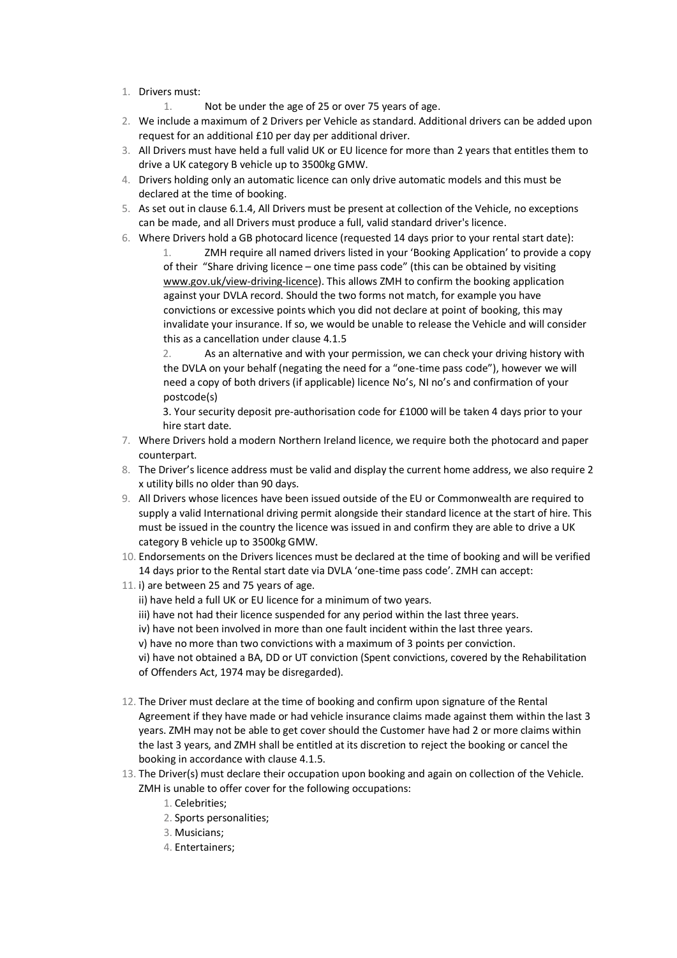- 1. Drivers must:
	- 1. Not be under the age of 25 or over 75 years of age.
- 2. We include a maximum of 2 Drivers per Vehicle as standard. Additional drivers can be added upon request for an additional £10 per day per additional driver.
- 3. All Drivers must have held a full valid UK or EU licence for more than 2 years that entitles them to drive a UK category B vehicle up to 3500kg GMW.
- 4. Drivers holding only an automatic licence can only drive automatic models and this must be declared at the time of booking.
- 5. As set out in clause 6.1.4, All Drivers must be present at collection of the Vehicle, no exceptions can be made, and all Drivers must produce a full, valid standard driver's licence.
- 6. Where Drivers hold a GB photocard licence (requested 14 days prior to your rental start date): 1. ZMH require all named drivers listed in your 'Booking Application' to provide a copy of their "Share driving licence – one time pass code" (this can be obtained by visiting [www.gov.uk/view-driving-licence\).](http://www.gov.uk/view-driving-licence) This allows ZMH to confirm the booking application against your DVLA record. Should the two forms not match, for example you have convictions or excessive points which you did not declare at point of booking, this may invalidate your insurance. If so, we would be unable to release the Vehicle and will consider this as a cancellation under clause 4.1.5

2. As an alternative and with your permission, we can check your driving history with the DVLA on your behalf (negating the need for a "one-time pass code"), however we will need a copy of both drivers (if applicable) licence No's, NI no's and confirmation of your postcode(s)

3. Your security deposit pre-authorisation code for £1000 will be taken 4 days prior to your hire start date.

- 7. Where Drivers hold a modern Northern Ireland licence, we require both the photocard and paper counterpart.
- 8. The Driver's licence address must be valid and display the current home address, we also require 2 x utility bills no older than 90 days.
- 9. All Drivers whose licences have been issued outside of the EU or Commonwealth are required to supply a valid International driving permit alongside their standard licence at the start of hire. This must be issued in the country the licence was issued in and confirm they are able to drive a UK category B vehicle up to 3500kg GMW.
- 10. Endorsements on the Drivers licences must be declared at the time of booking and will be verified 14 days prior to the Rental start date via DVLA 'one-time pass code'. ZMH can accept:
- 11. i) are between 25 and 75 years of age.
	- ii) have held a full UK or EU licence for a minimum of two years.
	- iii) have not had their licence suspended for any period within the last three years.
	- iv) have not been involved in more than one fault incident within the last three years.
	- v) have no more than two convictions with a maximum of 3 points per conviction.

vi) have not obtained a BA, DD or UT conviction (Spent convictions, covered by the Rehabilitation of Offenders Act, 1974 may be disregarded).

- 12. The Driver must declare at the time of booking and confirm upon signature of the Rental Agreement if they have made or had vehicle insurance claims made against them within the last 3 years. ZMH may not be able to get cover should the Customer have had 2 or more claims within the last 3 years, and ZMH shall be entitled at its discretion to reject the booking or cancel the booking in accordance with clause 4.1.5.
- 13. The Driver(s) must declare their occupation upon booking and again on collection of the Vehicle. ZMH is unable to offer cover for the following occupations:
	- 1. Celebrities;
	- 2. Sports personalities;
	- 3. Musicians;
	- 4. Entertainers;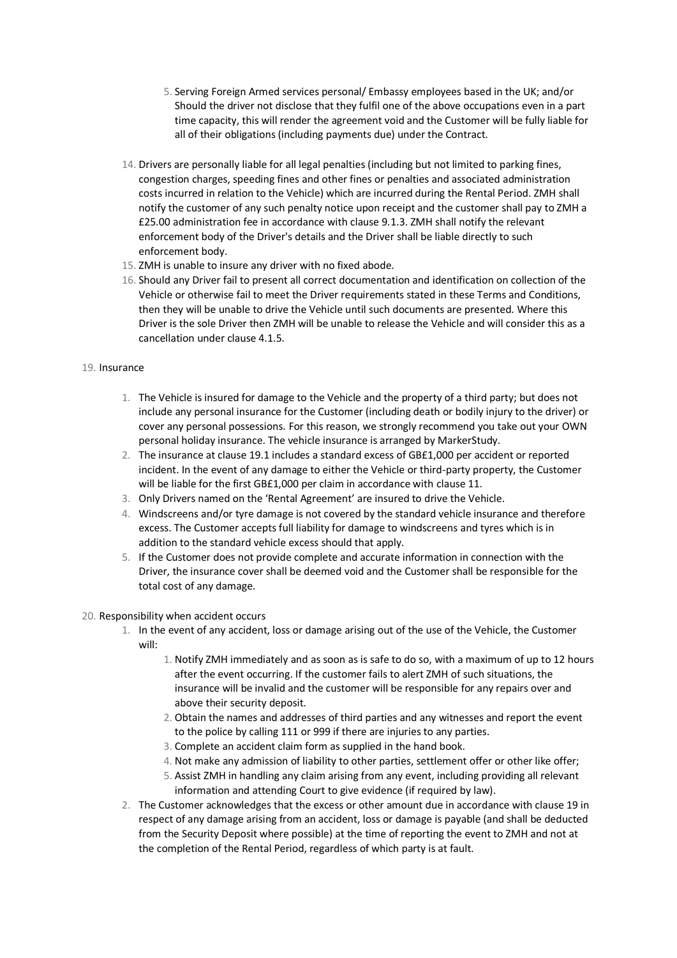- 5. Serving Foreign Armed services personal/ Embassy employees based in the UK; and/or Should the driver not disclose that they fulfil one of the above occupations even in a part time capacity, this will render the agreement void and the Customer will be fully liable for all of their obligations (including payments due) under the Contract.
- 14. Drivers are personally liable for all legal penalties (including but not limited to parking fines, congestion charges, speeding fines and other fines or penalties and associated administration costs incurred in relation to the Vehicle) which are incurred during the Rental Period. ZMH shall notify the customer of any such penalty notice upon receipt and the customer shall pay to ZMH a £25.00 administration fee in accordance with clause 9.1.3. ZMH shall notify the relevant enforcement body of the Driver's details and the Driver shall be liable directly to such enforcement body.
- 15. ZMH is unable to insure any driver with no fixed abode.
- 16. Should any Driver fail to present all correct documentation and identification on collection of the Vehicle or otherwise fail to meet the Driver requirements stated in these Terms and Conditions, then they will be unable to drive the Vehicle until such documents are presented. Where this Driver is the sole Driver then ZMH will be unable to release the Vehicle and will consider this as a cancellation under clause 4.1.5.

# 19. Insurance

- 1. The Vehicle is insured for damage to the Vehicle and the property of a third party; but does not include any personal insurance for the Customer (including death or bodily injury to the driver) or cover any personal possessions. For this reason, we strongly recommend you take out your OWN personal holiday insurance. The vehicle insurance is arranged by MarkerStudy.
- 2. The insurance at clause 19.1 includes a standard excess of GB£1,000 per accident or reported incident. In the event of any damage to either the Vehicle or third-party property, the Customer will be liable for the first GB£1,000 per claim in accordance with clause 11.
- 3. Only Drivers named on the 'Rental Agreement' are insured to drive the Vehicle.
- 4. Windscreens and/or tyre damage is not covered by the standard vehicle insurance and therefore excess. The Customer accepts full liability for damage to windscreens and tyres which is in addition to the standard vehicle excess should that apply.
- 5. If the Customer does not provide complete and accurate information in connection with the Driver, the insurance cover shall be deemed void and the Customer shall be responsible for the total cost of any damage.

# 20. Responsibility when accident occurs

- 1. In the event of any accident, loss or damage arising out of the use of the Vehicle, the Customer will:
	- 1. Notify ZMH immediately and as soon as is safe to do so, with a maximum of up to 12 hours after the event occurring. If the customer fails to alert ZMH of such situations, the insurance will be invalid and the customer will be responsible for any repairs over and above their security deposit.
	- 2. Obtain the names and addresses of third parties and any witnesses and report the event to the police by calling 111 or 999 if there are injuries to any parties.
	- 3. Complete an accident claim form as supplied in the hand book.
	- 4. Not make any admission of liability to other parties, settlement offer or other like offer;
	- 5. Assist ZMH in handling any claim arising from any event, including providing all relevant information and attending Court to give evidence (if required by law).
- 2. The Customer acknowledges that the excess or other amount due in accordance with clause 19 in respect of any damage arising from an accident, loss or damage is payable (and shall be deducted from the Security Deposit where possible) at the time of reporting the event to ZMH and not at the completion of the Rental Period, regardless of which party is at fault.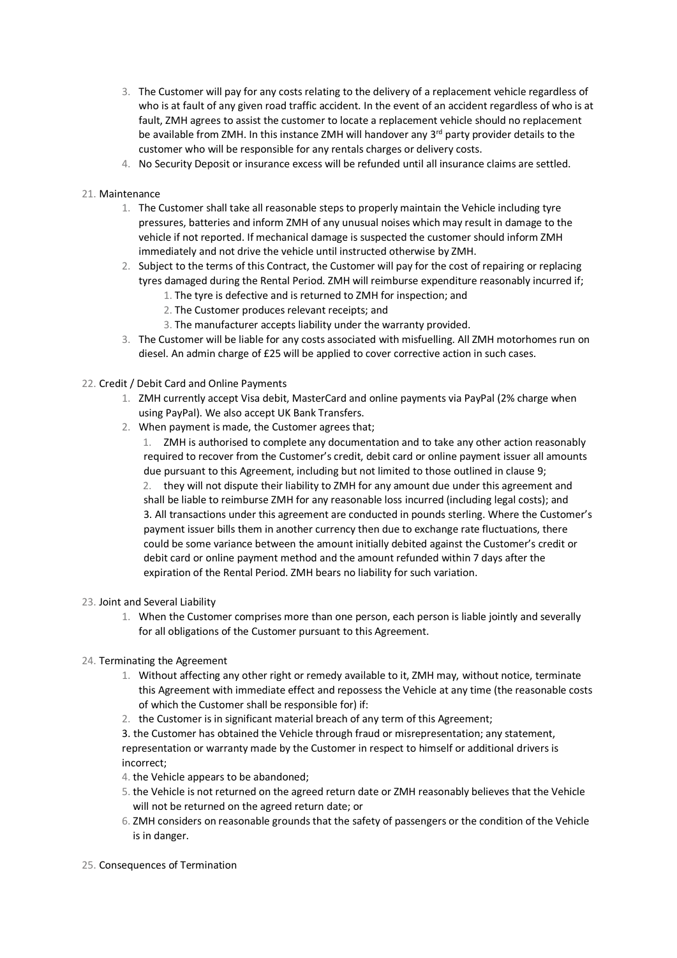- 3. The Customer will pay for any costs relating to the delivery of a replacement vehicle regardless of who is at fault of any given road traffic accident. In the event of an accident regardless of who is at fault, ZMH agrees to assist the customer to locate a replacement vehicle should no replacement be available from ZMH. In this instance ZMH will handover any 3<sup>rd</sup> party provider details to the customer who will be responsible for any rentals charges or delivery costs.
- 4. No Security Deposit or insurance excess will be refunded until all insurance claims are settled.

## 21. Maintenance

- 1. The Customer shall take all reasonable steps to properly maintain the Vehicle including tyre pressures, batteries and inform ZMH of any unusual noises which may result in damage to the vehicle if not reported. If mechanical damage is suspected the customer should inform ZMH immediately and not drive the vehicle until instructed otherwise by ZMH.
- 2. Subject to the terms of this Contract, the Customer will pay for the cost of repairing or replacing tyres damaged during the Rental Period. ZMH will reimburse expenditure reasonably incurred if;
	- 1. The tyre is defective and is returned to ZMH for inspection; and
	- 2. The Customer produces relevant receipts; and
	- 3. The manufacturer accepts liability under the warranty provided.
- 3. The Customer will be liable for any costs associated with misfuelling. All ZMH motorhomes run on diesel. An admin charge of £25 will be applied to cover corrective action in such cases.
- 22. Credit / Debit Card and Online Payments
	- 1. ZMH currently accept Visa debit, MasterCard and online payments via PayPal (2% charge when using PayPal). We also accept UK Bank Transfers.
	- 2. When payment is made, the Customer agrees that;

1. ZMH is authorised to complete any documentation and to take any other action reasonably required to recover from the Customer's credit, debit card or online payment issuer all amounts due pursuant to this Agreement, including but not limited to those outlined in clause 9;

2. they will not dispute their liability to ZMH for any amount due under this agreement and shall be liable to reimburse ZMH for any reasonable loss incurred (including legal costs); and 3. All transactions under this agreement are conducted in pounds sterling. Where the Customer's payment issuer bills them in another currency then due to exchange rate fluctuations, there could be some variance between the amount initially debited against the Customer's credit or debit card or online payment method and the amount refunded within 7 days after the expiration of the Rental Period. ZMH bears no liability for such variation.

- 23. Joint and Several Liability
	- 1. When the Customer comprises more than one person, each person is liable jointly and severally for all obligations of the Customer pursuant to this Agreement.
- 24. Terminating the Agreement
	- 1. Without affecting any other right or remedy available to it, ZMH may, without notice, terminate this Agreement with immediate effect and repossess the Vehicle at any time (the reasonable costs of which the Customer shall be responsible for) if:
	- 2. the Customer is in significant material breach of any term of this Agreement;

3. the Customer has obtained the Vehicle through fraud or misrepresentation; any statement, representation or warranty made by the Customer in respect to himself or additional drivers is incorrect;

- 4. the Vehicle appears to be abandoned;
- 5. the Vehicle is not returned on the agreed return date or ZMH reasonably believes that the Vehicle will not be returned on the agreed return date; or
- 6. ZMH considers on reasonable grounds that the safety of passengers or the condition of the Vehicle is in danger.
- 25. Consequences of Termination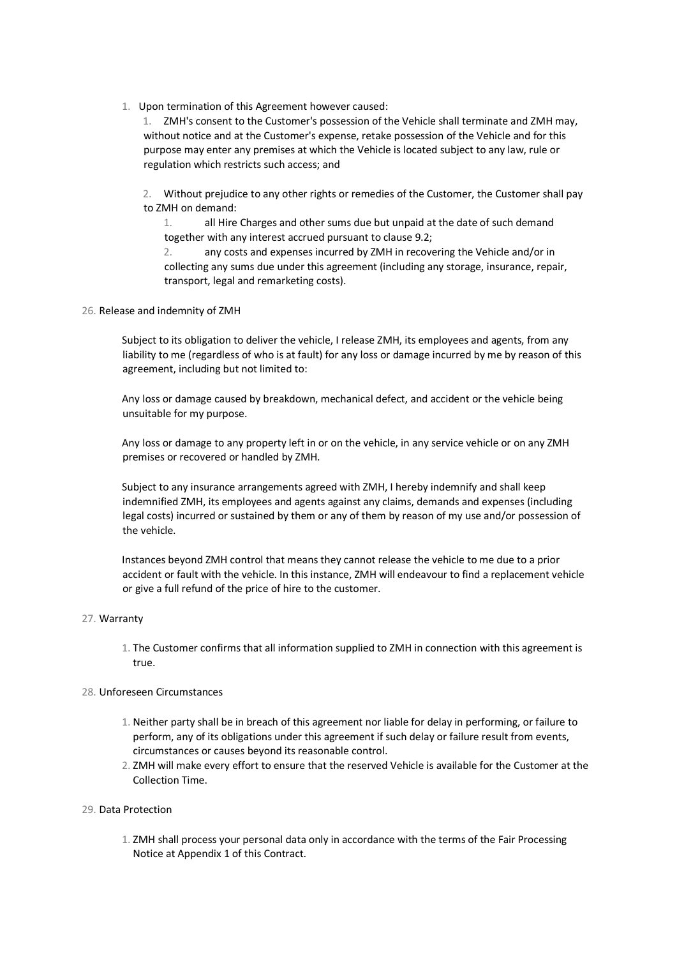1. Upon termination of this Agreement however caused:

1. ZMH's consent to the Customer's possession of the Vehicle shall terminate and ZMH may, without notice and at the Customer's expense, retake possession of the Vehicle and for this purpose may enter any premises at which the Vehicle is located subject to any law, rule or regulation which restricts such access; and

2. Without prejudice to any other rights or remedies of the Customer, the Customer shall pay to ZMH on demand:

1. all Hire Charges and other sums due but unpaid at the date of such demand together with any interest accrued pursuant to clause 9.2;

2. any costs and expenses incurred by ZMH in recovering the Vehicle and/or in collecting any sums due under this agreement (including any storage, insurance, repair, transport, legal and remarketing costs).

## 26. Release and indemnity of ZMH

Subject to its obligation to deliver the vehicle, I release ZMH, its employees and agents, from any liability to me (regardless of who is at fault) for any loss or damage incurred by me by reason of this agreement, including but not limited to:

Any loss or damage caused by breakdown, mechanical defect, and accident or the vehicle being unsuitable for my purpose.

Any loss or damage to any property left in or on the vehicle, in any service vehicle or on any ZMH premises or recovered or handled by ZMH.

Subject to any insurance arrangements agreed with ZMH, I hereby indemnify and shall keep indemnified ZMH, its employees and agents against any claims, demands and expenses (including legal costs) incurred or sustained by them or any of them by reason of my use and/or possession of the vehicle.

Instances beyond ZMH control that means they cannot release the vehicle to me due to a prior accident or fault with the vehicle. In this instance, ZMH will endeavour to find a replacement vehicle or give a full refund of the price of hire to the customer.

## 27. Warranty

1. The Customer confirms that all information supplied to ZMH in connection with this agreement is true.

## 28. Unforeseen Circumstances

- 1. Neither party shall be in breach of this agreement nor liable for delay in performing, or failure to perform, any of its obligations under this agreement if such delay or failure result from events, circumstances or causes beyond its reasonable control.
- 2. ZMH will make every effort to ensure that the reserved Vehicle is available for the Customer at the Collection Time.

## 29. Data Protection

1. ZMH shall process your personal data only in accordance with the terms of the Fair Processing Notice at Appendix 1 of this Contract.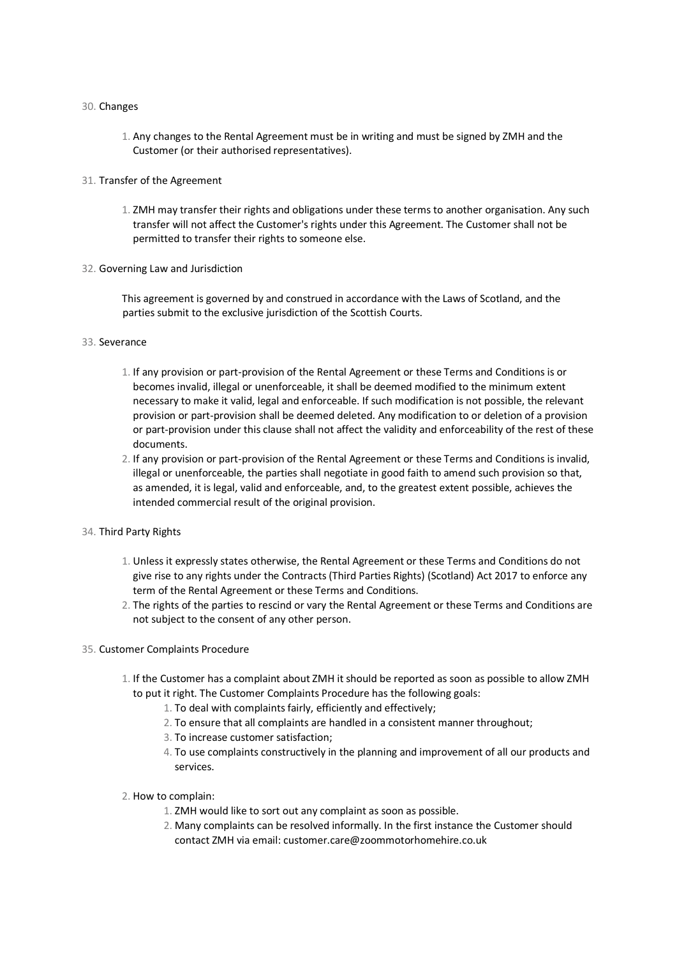#### 30. Changes

- 1. Any changes to the Rental Agreement must be in writing and must be signed by ZMH and the Customer (or their authorised representatives).
- 31. Transfer of the Agreement
	- 1. ZMH may transfer their rights and obligations under these terms to another organisation. Any such transfer will not affect the Customer's rights under this Agreement. The Customer shall not be permitted to transfer their rights to someone else.
- 32. Governing Law and Jurisdiction

This agreement is governed by and construed in accordance with the Laws of Scotland, and the parties submit to the exclusive jurisdiction of the Scottish Courts.

#### 33. Severance

- 1. If any provision or part-provision of the Rental Agreement or these Terms and Conditions is or becomes invalid, illegal or unenforceable, it shall be deemed modified to the minimum extent necessary to make it valid, legal and enforceable. If such modification is not possible, the relevant provision or part-provision shall be deemed deleted. Any modification to or deletion of a provision or part-provision under this clause shall not affect the validity and enforceability of the rest of these documents.
- 2. If any provision or part-provision of the Rental Agreement or these Terms and Conditions is invalid, illegal or unenforceable, the parties shall negotiate in good faith to amend such provision so that, as amended, it is legal, valid and enforceable, and, to the greatest extent possible, achieves the intended commercial result of the original provision.
- 34. Third Party Rights
	- 1. Unless it expressly states otherwise, the Rental Agreement or these Terms and Conditions do not give rise to any rights under the Contracts (Third Parties Rights) (Scotland) Act 2017 to enforce any term of the Rental Agreement or these Terms and Conditions.
	- 2. The rights of the parties to rescind or vary the Rental Agreement or these Terms and Conditions are not subject to the consent of any other person.
- 35. Customer Complaints Procedure
	- 1. If the Customer has a complaint about ZMH it should be reported as soon as possible to allow ZMH to put it right. The Customer Complaints Procedure has the following goals:
		- 1. To deal with complaints fairly, efficiently and effectively;
		- 2. To ensure that all complaints are handled in a consistent manner throughout;
		- 3. To increase customer satisfaction;
		- 4. To use complaints constructively in the planning and improvement of all our products and services.
	- 2. How to complain:
		- 1. ZMH would like to sort out any complaint as soon as possible.
		- 2. Many complaints can be resolved informally. In the first instance the Customer should contact ZMH via email: customer.care@zoommotorhomehire.co.uk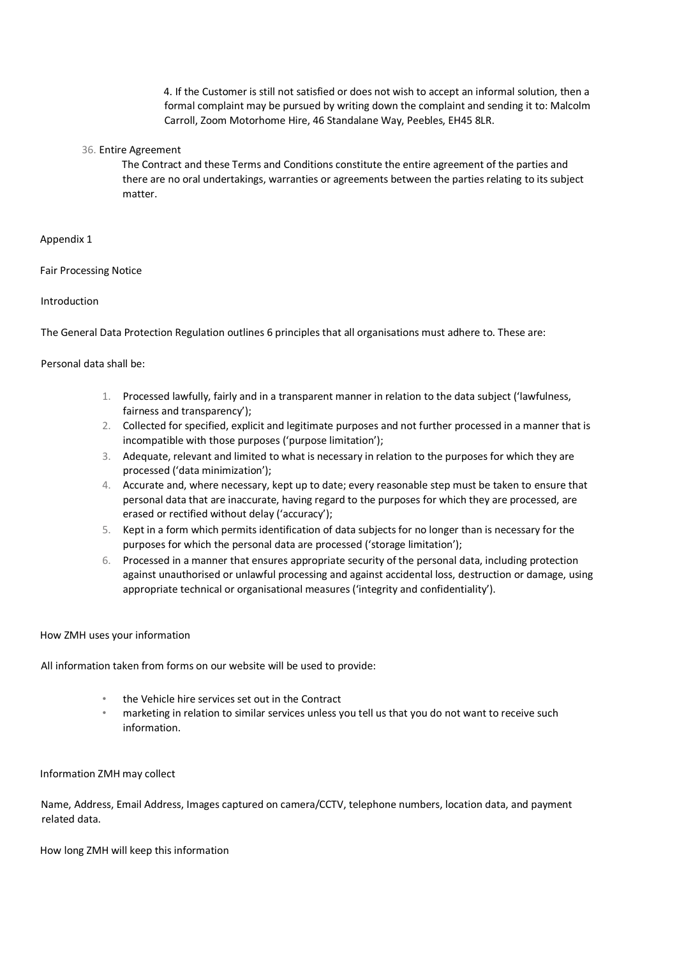4. If the Customer is still not satisfied or does not wish to accept an informal solution, then a formal complaint may be pursued by writing down the complaint and sending it to: Malcolm Carroll, Zoom Motorhome Hire, 46 Standalane Way, Peebles, EH45 8LR.

#### 36. Entire Agreement

The Contract and these Terms and Conditions constitute the entire agreement of the parties and there are no oral undertakings, warranties or agreements between the parties relating to its subject matter.

#### Appendix 1

Fair Processing Notice

#### Introduction

The General Data Protection Regulation outlines 6 principles that all organisations must adhere to. These are:

#### Personal data shall be:

- 1. Processed lawfully, fairly and in a transparent manner in relation to the data subject ('lawfulness, fairness and transparency');
- 2. Collected for specified, explicit and legitimate purposes and not further processed in a manner that is incompatible with those purposes ('purpose limitation');
- 3. Adequate, relevant and limited to what is necessary in relation to the purposes for which they are processed ('data minimization');
- 4. Accurate and, where necessary, kept up to date; every reasonable step must be taken to ensure that personal data that are inaccurate, having regard to the purposes for which they are processed, are erased or rectified without delay ('accuracy');
- 5. Kept in a form which permits identification of data subjects for no longer than is necessary for the purposes for which the personal data are processed ('storage limitation');
- 6. Processed in a manner that ensures appropriate security of the personal data, including protection against unauthorised or unlawful processing and against accidental loss, destruction or damage, using appropriate technical or organisational measures ('integrity and confidentiality').

#### How ZMH uses your information

All information taken from forms on our website will be used to provide:

- the Vehicle hire services set out in the Contract
- marketing in relation to similar services unless you tell us that you do not want to receive such information.

#### Information ZMH may collect

Name, Address, Email Address, Images captured on camera/CCTV, telephone numbers, location data, and payment related data.

How long ZMH will keep this information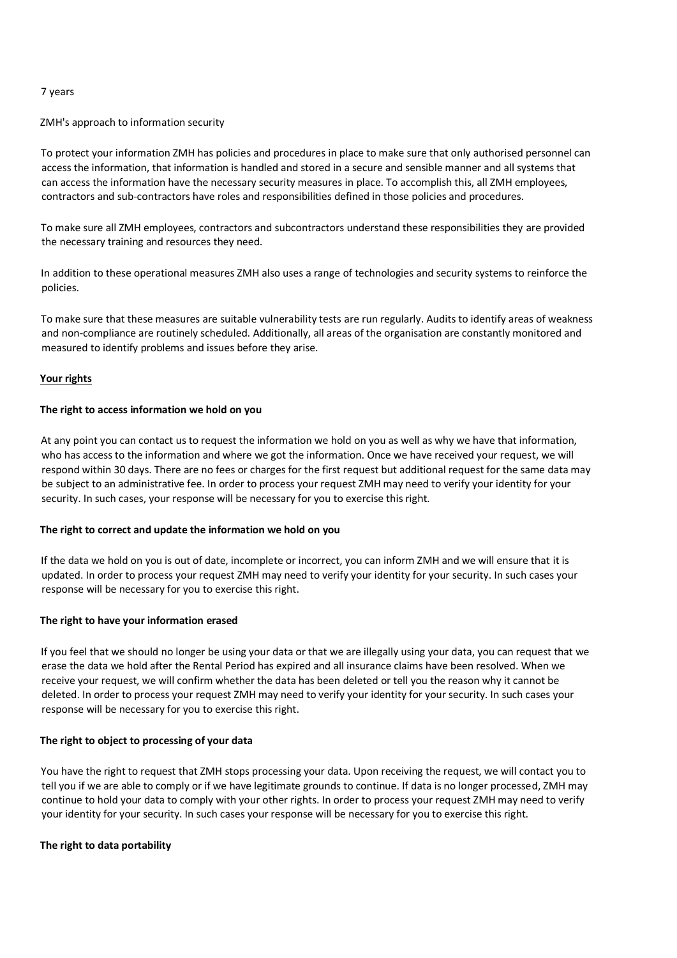## 7 years

#### ZMH's approach to information security

To protect your information ZMH has policies and procedures in place to make sure that only authorised personnel can access the information, that information is handled and stored in a secure and sensible manner and all systems that can access the information have the necessary security measures in place. To accomplish this, all ZMH employees, contractors and sub-contractors have roles and responsibilities defined in those policies and procedures.

To make sure all ZMH employees, contractors and subcontractors understand these responsibilities they are provided the necessary training and resources they need.

In addition to these operational measures ZMH also uses a range of technologies and security systems to reinforce the policies.

To make sure that these measures are suitable vulnerability tests are run regularly. Audits to identify areas of weakness and non-compliance are routinely scheduled. Additionally, all areas of the organisation are constantly monitored and measured to identify problems and issues before they arise.

#### **Your rights**

#### **The right to access information we hold on you**

At any point you can contact us to request the information we hold on you as well as why we have that information, who has access to the information and where we got the information. Once we have received your request, we will respond within 30 days. There are no fees or charges for the first request but additional request for the same data may be subject to an administrative fee. In order to process your request ZMH may need to verify your identity for your security. In such cases, your response will be necessary for you to exercise this right.

#### **The right to correct and update the information we hold on you**

If the data we hold on you is out of date, incomplete or incorrect, you can inform ZMH and we will ensure that it is updated. In order to process your request ZMH may need to verify your identity for your security. In such cases your response will be necessary for you to exercise this right.

#### **The right to have your information erased**

If you feel that we should no longer be using your data or that we are illegally using your data, you can request that we erase the data we hold after the Rental Period has expired and all insurance claims have been resolved. When we receive your request, we will confirm whether the data has been deleted or tell you the reason why it cannot be deleted. In order to process your request ZMH may need to verify your identity for your security. In such cases your response will be necessary for you to exercise this right.

#### **The right to object to processing of your data**

You have the right to request that ZMH stops processing your data. Upon receiving the request, we will contact you to tell you if we are able to comply or if we have legitimate grounds to continue. If data is no longer processed, ZMH may continue to hold your data to comply with your other rights. In order to process your request ZMH may need to verify your identity for your security. In such cases your response will be necessary for you to exercise this right.

## **The right to data portability**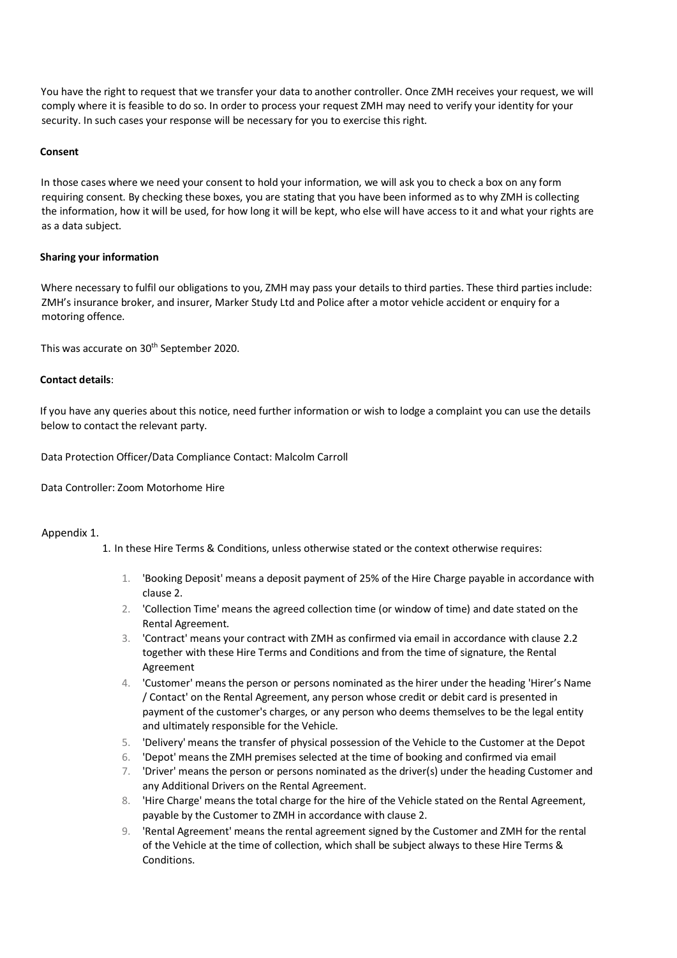You have the right to request that we transfer your data to another controller. Once ZMH receives your request, we will comply where it is feasible to do so. In order to process your request ZMH may need to verify your identity for your security. In such cases your response will be necessary for you to exercise this right.

## **Consent**

In those cases where we need your consent to hold your information, we will ask you to check a box on any form requiring consent. By checking these boxes, you are stating that you have been informed as to why ZMH is collecting the information, how it will be used, for how long it will be kept, who else will have access to it and what your rights are as a data subject.

# **Sharing your information**

Where necessary to fulfil our obligations to you, ZMH may pass your details to third parties. These third parties include: ZMH's insurance broker, and insurer, Marker Study Ltd and Police after a motor vehicle accident or enquiry for a motoring offence.

This was accurate on 30<sup>th</sup> September 2020.

## **Contact details**:

If you have any queries about this notice, need further information or wish to lodge a complaint you can use the details below to contact the relevant party.

Data Protection Officer/Data Compliance Contact: Malcolm Carroll

Data Controller: Zoom Motorhome Hire

## Appendix 1.

- 1. In these Hire Terms & Conditions, unless otherwise stated or the context otherwise requires:
	- 1. 'Booking Deposit' means a deposit payment of 25% of the Hire Charge payable in accordance with clause 2.
	- 2. 'Collection Time' means the agreed collection time (or window of time) and date stated on the Rental Agreement.
	- 3. 'Contract' means your contract with ZMH as confirmed via email in accordance with clause 2.2 together with these Hire Terms and Conditions and from the time of signature, the Rental Agreement
	- 4. 'Customer' means the person or persons nominated as the hirer under the heading 'Hirer's Name / Contact' on the Rental Agreement, any person whose credit or debit card is presented in payment of the customer's charges, or any person who deems themselves to be the legal entity and ultimately responsible for the Vehicle.
	- 5. 'Delivery' means the transfer of physical possession of the Vehicle to the Customer at the Depot
	- 6. 'Depot' means the ZMH premises selected at the time of booking and confirmed via email
	- 7. 'Driver' means the person or persons nominated as the driver(s) under the heading Customer and any Additional Drivers on the Rental Agreement.
	- 8. 'Hire Charge' means the total charge for the hire of the Vehicle stated on the Rental Agreement, payable by the Customer to ZMH in accordance with clause 2.
	- 9. 'Rental Agreement' means the rental agreement signed by the Customer and ZMH for the rental of the Vehicle at the time of collection, which shall be subject always to these Hire Terms & **Conditions**